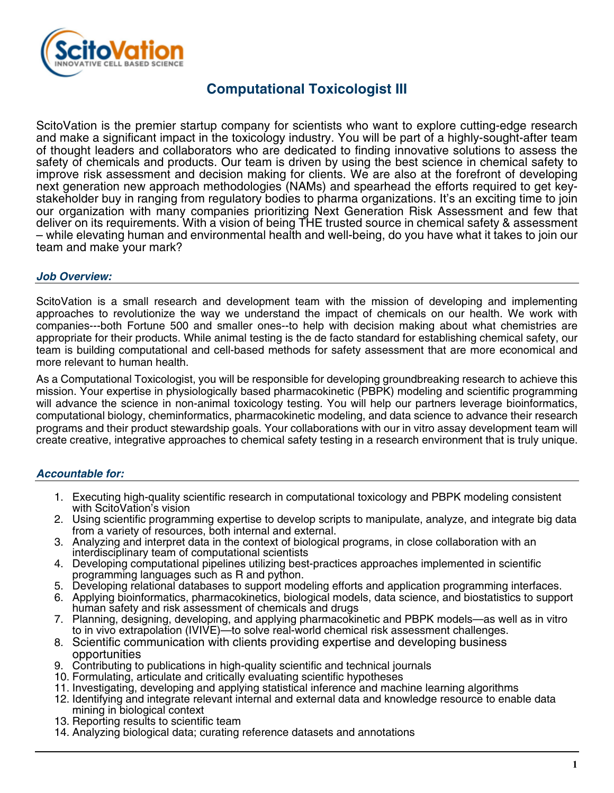

## **Computational Toxicologist III**

ScitoVation is the premier startup company for scientists who want to explore cutting-edge research and make a significant impact in the toxicology industry. You will be part of a highly-sought-after team of thought leaders and collaborators who are dedicated to finding innovative solutions to assess the safety of chemicals and products. Our team is driven by using the best science in chemical safety to improve risk assessment and decision making for clients. We are also at the forefront of developing next generation new approach methodologies (NAMs) and spearhead the efforts required to get keystakeholder buy in ranging from regulatory bodies to pharma organizations. It's an exciting time to join our organization with many companies prioritizing Next Generation Risk Assessment and few that deliver on its requirements. With a vision of being THE trusted source in chemical safety & assessment – while elevating human and environmental health and well-being, do you have what it takes to join our team and make your mark?

### *Job Overview:*

ScitoVation is a small research and development team with the mission of developing and implementing approaches to revolutionize the way we understand the impact of chemicals on our health. We work with companies---both Fortune 500 and smaller ones--to help with decision making about what chemistries are appropriate for their products. While animal testing is the de facto standard for establishing chemical safety, our team is building computational and cell-based methods for safety assessment that are more economical and more relevant to human health.

As a Computational Toxicologist, you will be responsible for developing groundbreaking research to achieve this mission. Your expertise in physiologically based pharmacokinetic (PBPK) modeling and scientific programming will advance the science in non-animal toxicology testing. You will help our partners leverage bioinformatics, computational biology, cheminformatics, pharmacokinetic modeling, and data science to advance their research programs and their product stewardship goals. Your collaborations with our in vitro assay development team will create creative, integrative approaches to chemical safety testing in a research environment that is truly unique.

### *Accountable for:*

- 1. Executing high-quality scientific research in computational toxicology and PBPK modeling consistent with ScitoVation's vision
- 2. Using scientific programming expertise to develop scripts to manipulate, analyze, and integrate big data from a variety of resources, both internal and external.
- 3. Analyzing and interpret data in the context of biological programs, in close collaboration with an interdisciplinary team of computational scientists
- 4. Developing computational pipelines utilizing best-practices approaches implemented in scientific programming languages such as R and python.
- 5. Developing relational databases to support modeling efforts and application programming interfaces.
- 6. Applying bioinformatics, pharmacokinetics, biological models, data science, and biostatistics to support human safety and risk assessment of chemicals and drugs
- 7. Planning, designing, developing, and applying pharmacokinetic and PBPK models—as well as in vitro to in vivo extrapolation (IVIVE)—to solve real-world chemical risk assessment challenges.
- 8. Scientific communication with clients providing expertise and developing business opportunities
- 9. Contributing to publications in high-quality scientific and technical journals
- 10. Formulating, articulate and critically evaluating scientific hypotheses
- 11. Investigating, developing and applying statistical inference and machine learning algorithms
- 12. Identifying and integrate relevant internal and external data and knowledge resource to enable data mining in biological context
- 13. Reporting results to scientific team
- 14. Analyzing biological data; curating reference datasets and annotations